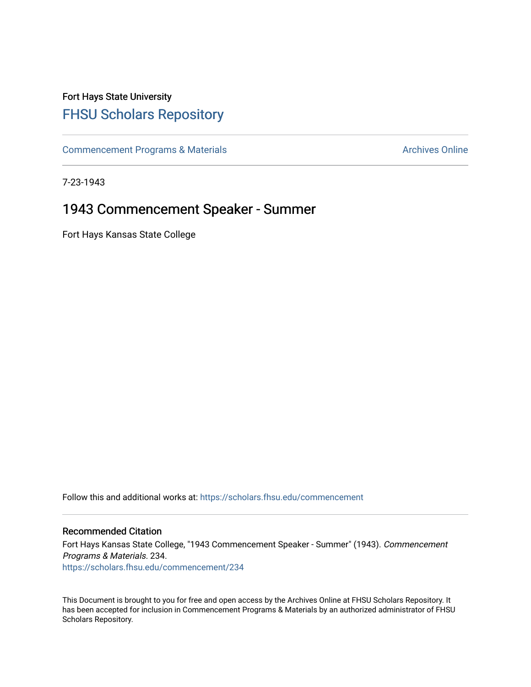## Fort Hays State University [FHSU Scholars Repository](https://scholars.fhsu.edu/)

[Commencement Programs & Materials](https://scholars.fhsu.edu/commencement) **Archives Online** Archives Online

7-23-1943

## 1943 Commencement Speaker - Summer

Fort Hays Kansas State College

Follow this and additional works at: [https://scholars.fhsu.edu/commencement](https://scholars.fhsu.edu/commencement?utm_source=scholars.fhsu.edu%2Fcommencement%2F234&utm_medium=PDF&utm_campaign=PDFCoverPages)

## Recommended Citation

Fort Hays Kansas State College, "1943 Commencement Speaker - Summer" (1943). Commencement Programs & Materials. 234. [https://scholars.fhsu.edu/commencement/234](https://scholars.fhsu.edu/commencement/234?utm_source=scholars.fhsu.edu%2Fcommencement%2F234&utm_medium=PDF&utm_campaign=PDFCoverPages)

This Document is brought to you for free and open access by the Archives Online at FHSU Scholars Repository. It has been accepted for inclusion in Commencement Programs & Materials by an authorized administrator of FHSU Scholars Repository.